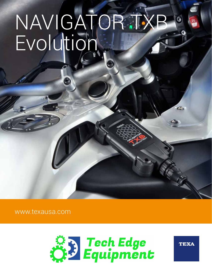# NAVIGATOR TXB Evolution

www.texausa.com



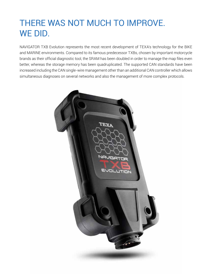## THERE WAS NOT MUCH TO IMPROVE. WE DID.

NAVIGATOR TXB Evolution represents the most recent development of TEXA's technology for the BIKE and MARINE environments. Compared to its famous predecessor TXBs, chosen by important motorcycle brands as their official diagnostic tool, the SRAM has been doubled in order to manage the map files even better, whereas the storage memory has been quadruplicated. The supported CAN standards have been increased including the CAN single-wire management other than an additional CAN controller which allows simultaneous diagnoses on several networks and also the management of more complex protocols.

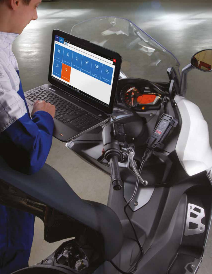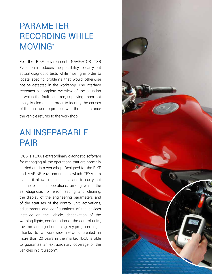### PARAMETER RECORDING WHILE MOVING\*

For the BIKE environment, NAVIGATOR TXB Evolution introduces the possibility to carry out actual diagnostic tests while moving in order to locate specific problems that would otherwise not be detected in the workshop. The interface recreates a complete overview of the situation in which the fault occurred, supplying important analysis elements in order to identify the causes of the fault and to proceed with the repairs once the vehicle returns to the workshop.

### AN INSEPARABLE PAIR

IDC5 is TEXA's extraordinary diagnostic software for managing all the operations that are normally carried out in a workshop. Designed for the BIKE and MARINE environments, in which TEXA is a leader, it allows repair technicians to carry out all the essential operations, among which the self-diagnosis for error reading and clearing, the display of the engineering parameters and of the statuses of the control unit, activations, adjustments and configurations of the devices installed on the vehicle, deactivation of the warning lights, configuration of the control units, fuel trim and injection timing, key programming. Thanks to a worldwide network created in

more than 20 years in the market, IDC5 is able to guarantee an extraordinary coverage of the vehicles in circulation\*\*.

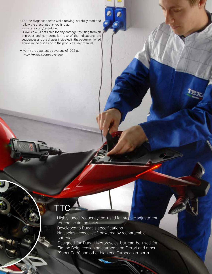\* For the diagnostic tests while moving, carefully read and follow the prescriptions you find at: www.texa.com/test-drive.

 TEXA S.p.A. is not liable for any damage resulting from an improper and non-compliant use of the indications, the sequences and the phases indicated in the page mentioned above, in the guide and in the product's user manual.

\*\* Verify the diagnostic coverage of IDC5 at: www.texausa.com/coverage

#### **TTC**

- Highly tuned frequency tool used for precise adjustment for engine timing belts
- Developed to Ducati's specifications
- No cables needed, self-powered by rechargeable batteries
- Designed for Ducati Motorcycles but can be used for Timing Belts tension adjustments on Ferrari and other "Super Cars" and other high end European imports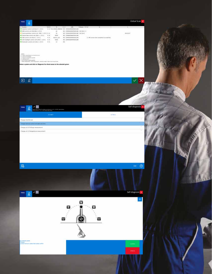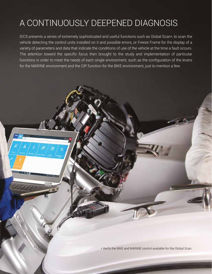# A CONTINUOUSLY DEEPENED DIAGNOSIS

IDC5 presents a series of extremely sophisticated and useful functions such as Global Scan\*, to scan the vehicle detecting the control units installed on it and possible errors, or Freeze Frame for the display of a variety of parameters and data that indicate the conditions of use of the vehicle at the time a fault occurs. The attention toward the specific focus then brought to the study and implementation of particular functions in order to meet the needs of each single environment, such as the configuration of the levers for the MARINE environment and the CIP function for the BIKE environment, just to mention a few.

\* Verify the BIKE and MARINE control available for the Global Scan.